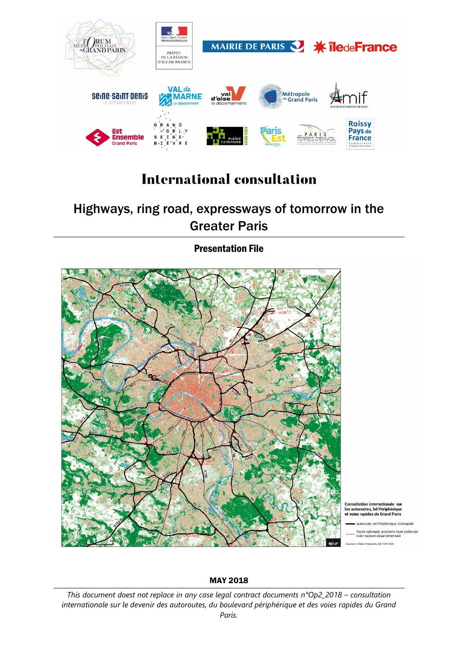

# **International consultation**

# Highways, ring road, expressways of tomorrow in the Greater Paris

Presentation File



# MAY 2018

*This document doest not replace in any case legal contract documents n°Op2\_2018 – consultation internationale sur le devenir des autoroutes, du boulevard périphérique et des voies rapides du Grand Paris.*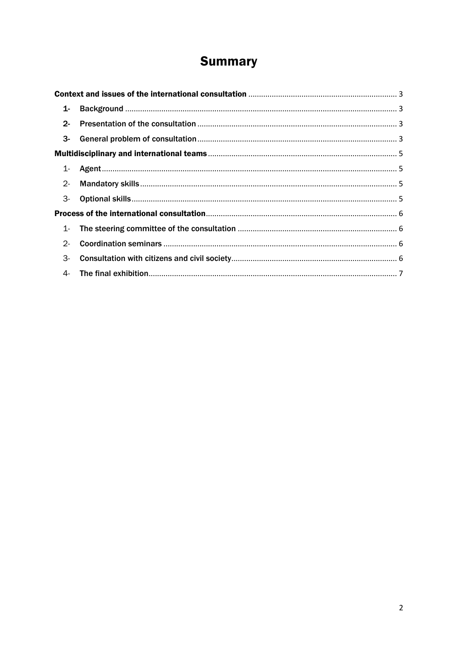# **Summary**

| $1 -$ |  |  |
|-------|--|--|
| $2 -$ |  |  |
|       |  |  |
|       |  |  |
| 1-    |  |  |
| $2 -$ |  |  |
| 3-    |  |  |
|       |  |  |
| $1-$  |  |  |
| $2 -$ |  |  |
| 3-    |  |  |
| 4-    |  |  |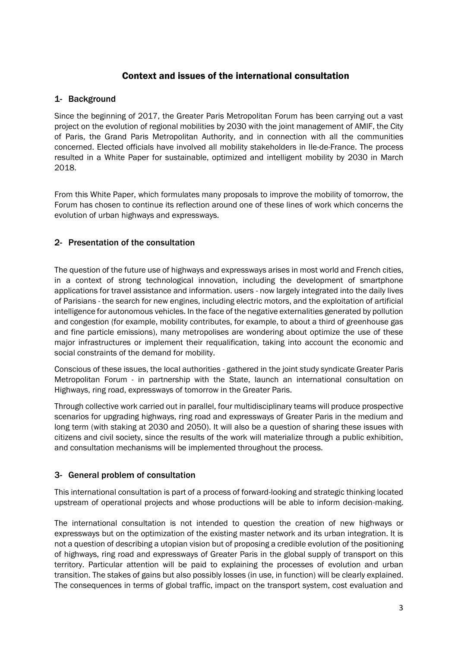# Context and issues of the international consultation

#### <span id="page-2-1"></span><span id="page-2-0"></span>1- Background

Since the beginning of 2017, the Greater Paris Metropolitan Forum has been carrying out a vast project on the evolution of regional mobilities by 2030 with the joint management of AMIF, the City of Paris, the Grand Paris Metropolitan Authority, and in connection with all the communities concerned. Elected officials have involved all mobility stakeholders in Ile-de-France. The process resulted in a White Paper for sustainable, optimized and intelligent mobility by 2030 in March 2018.

From this White Paper, which formulates many proposals to improve the mobility of tomorrow, the Forum has chosen to continue its reflection around one of these lines of work which concerns the evolution of urban highways and expressways.

#### <span id="page-2-2"></span>2- Presentation of the consultation

The question of the future use of highways and expressways arises in most world and French cities, in a context of strong technological innovation, including the development of smartphone applications for travel assistance and information. users - now largely integrated into the daily lives of Parisians - the search for new engines, including electric motors, and the exploitation of artificial intelligence for autonomous vehicles. In the face of the negative externalities generated by pollution and congestion (for example, mobility contributes, for example, to about a third of greenhouse gas and fine particle emissions), many metropolises are wondering about optimize the use of these major infrastructures or implement their requalification, taking into account the economic and social constraints of the demand for mobility.

Conscious of these issues, the local authorities - gathered in the joint study syndicate Greater Paris Metropolitan Forum - in partnership with the State, launch an international consultation on Highways, ring road, expressways of tomorrow in the Greater Paris.

Through collective work carried out in parallel, four multidisciplinary teams will produce prospective scenarios for upgrading highways, ring road and expressways of Greater Paris in the medium and long term (with staking at 2030 and 2050). It will also be a question of sharing these issues with citizens and civil society, since the results of the work will materialize through a public exhibition, and consultation mechanisms will be implemented throughout the process.

# <span id="page-2-3"></span>3- General problem of consultation

This international consultation is part of a process of forward-looking and strategic thinking located upstream of operational projects and whose productions will be able to inform decision-making.

The international consultation is not intended to question the creation of new highways or expressways but on the optimization of the existing master network and its urban integration. It is not a question of describing a utopian vision but of proposing a credible evolution of the positioning of highways, ring road and expressways of Greater Paris in the global supply of transport on this territory. Particular attention will be paid to explaining the processes of evolution and urban transition. The stakes of gains but also possibly losses (in use, in function) will be clearly explained. The consequences in terms of global traffic, impact on the transport system, cost evaluation and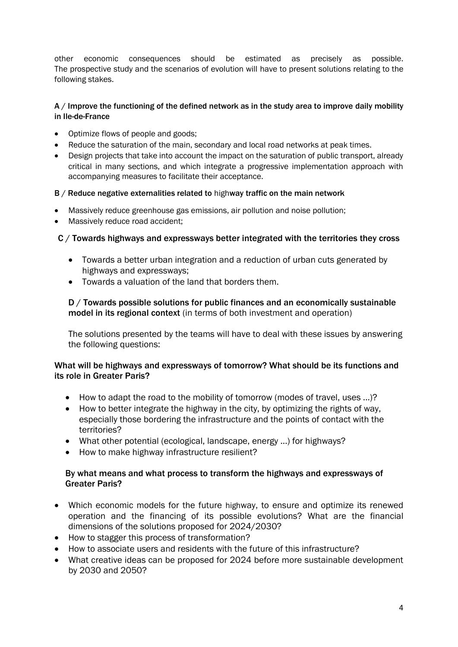other economic consequences should be estimated as precisely as possible. The prospective study and the scenarios of evolution will have to present solutions relating to the following stakes.

#### A / Improve the functioning of the defined network as in the study area to improve daily mobility in Ile-de-France

- Optimize flows of people and goods;
- Reduce the saturation of the main, secondary and local road networks at peak times.
- Design projects that take into account the impact on the saturation of public transport, already critical in many sections, and which integrate a progressive implementation approach with accompanying measures to facilitate their acceptance.

#### B / Reduce negative externalities related to highway traffic on the main network

- Massively reduce greenhouse gas emissions, air pollution and noise pollution;
- Massively reduce road accident;

# C / Towards highways and expressways better integrated with the territories they cross

- Towards a better urban integration and a reduction of urban cuts generated by highways and expressways;
- Towards a valuation of the land that borders them.

#### D / Towards possible solutions for public finances and an economically sustainable model in its regional context (in terms of both investment and operation)

The solutions presented by the teams will have to deal with these issues by answering the following questions:

#### What will be highways and expressways of tomorrow? What should be its functions and its role in Greater Paris?

- How to adapt the road to the mobility of tomorrow (modes of travel, uses ...)?
- How to better integrate the highway in the city, by optimizing the rights of way, especially those bordering the infrastructure and the points of contact with the territories?
- What other potential (ecological, landscape, energy ...) for highways?
- How to make highway infrastructure resilient?

#### By what means and what process to transform the highways and expressways of Greater Paris?

- Which economic models for the future highway, to ensure and optimize its renewed operation and the financing of its possible evolutions? What are the financial dimensions of the solutions proposed for 2024/2030?
- How to stagger this process of transformation?
- How to associate users and residents with the future of this infrastructure?
- What creative ideas can be proposed for 2024 before more sustainable development by 2030 and 2050?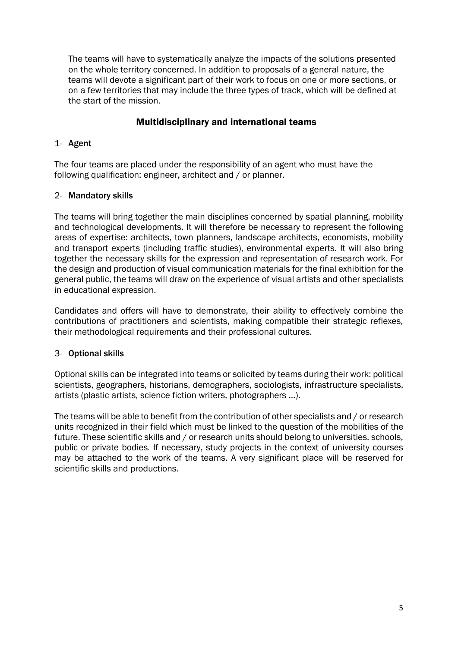The teams will have to systematically analyze the impacts of the solutions presented on the whole territory concerned. In addition to proposals of a general nature, the teams will devote a significant part of their work to focus on one or more sections, or on a few territories that may include the three types of track, which will be defined at the start of the mission.

# Multidisciplinary and international teams

# <span id="page-4-1"></span><span id="page-4-0"></span>1- Agent

The four teams are placed under the responsibility of an agent who must have the following qualification: engineer, architect and / or planner.

# <span id="page-4-2"></span>2- Mandatory skills

The teams will bring together the main disciplines concerned by spatial planning, mobility and technological developments. It will therefore be necessary to represent the following areas of expertise: architects, town planners, landscape architects, economists, mobility and transport experts (including traffic studies), environmental experts. It will also bring together the necessary skills for the expression and representation of research work. For the design and production of visual communication materials for the final exhibition for the general public, the teams will draw on the experience of visual artists and other specialists in educational expression.

Candidates and offers will have to demonstrate, their ability to effectively combine the contributions of practitioners and scientists, making compatible their strategic reflexes, their methodological requirements and their professional cultures.

# <span id="page-4-3"></span>3- Optional skills

Optional skills can be integrated into teams or solicited by teams during their work: political scientists, geographers, historians, demographers, sociologists, infrastructure specialists, artists (plastic artists, science fiction writers, photographers ...).

The teams will be able to benefit from the contribution of other specialists and / or research units recognized in their field which must be linked to the question of the mobilities of the future. These scientific skills and / or research units should belong to universities, schools, public or private bodies. If necessary, study projects in the context of university courses may be attached to the work of the teams. A very significant place will be reserved for scientific skills and productions.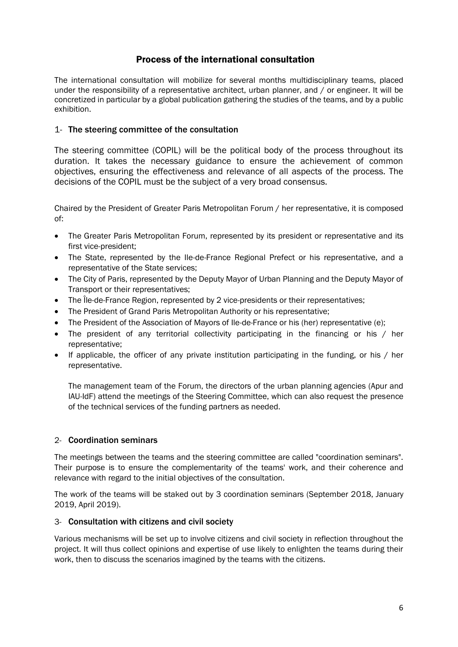# Process of the international consultation

<span id="page-5-0"></span>The international consultation will mobilize for several months multidisciplinary teams, placed under the responsibility of a representative architect, urban planner, and / or engineer. It will be concretized in particular by a global publication gathering the studies of the teams, and by a public exhibition.

#### <span id="page-5-1"></span>1- The steering committee of the consultation

The steering committee (COPIL) will be the political body of the process throughout its duration. It takes the necessary guidance to ensure the achievement of common objectives, ensuring the effectiveness and relevance of all aspects of the process. The decisions of the COPIL must be the subject of a very broad consensus.

Chaired by the President of Greater Paris Metropolitan Forum / her representative, it is composed of:

- The Greater Paris Metropolitan Forum, represented by its president or representative and its first vice-president;
- The State, represented by the Ile-de-France Regional Prefect or his representative, and a representative of the State services;
- The City of Paris, represented by the Deputy Mayor of Urban Planning and the Deputy Mayor of Transport or their representatives;
- The Île-de-France Region, represented by 2 vice-presidents or their representatives;
- The President of Grand Paris Metropolitan Authority or his representative;
- The President of the Association of Mayors of Ile-de-France or his (her) representative (e):
- The president of any territorial collectivity participating in the financing or his / her representative;
- If applicable, the officer of any private institution participating in the funding, or his / her representative.

The management team of the Forum, the directors of the urban planning agencies (Apur and IAU-IdF) attend the meetings of the Steering Committee, which can also request the presence of the technical services of the funding partners as needed.

#### <span id="page-5-2"></span>2- Coordination seminars

The meetings between the teams and the steering committee are called "coordination seminars". Their purpose is to ensure the complementarity of the teams' work, and their coherence and relevance with regard to the initial objectives of the consultation.

The work of the teams will be staked out by 3 coordination seminars (September 2018, January 2019, April 2019).

#### <span id="page-5-3"></span>3- Consultation with citizens and civil society

Various mechanisms will be set up to involve citizens and civil society in reflection throughout the project. It will thus collect opinions and expertise of use likely to enlighten the teams during their work, then to discuss the scenarios imagined by the teams with the citizens.